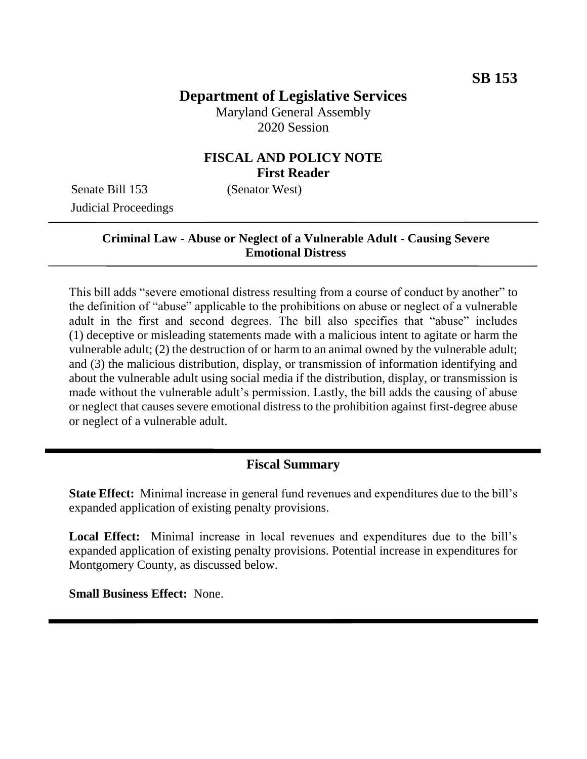# **Department of Legislative Services**

Maryland General Assembly 2020 Session

### **FISCAL AND POLICY NOTE First Reader**

Senate Bill 153 (Senator West) Judicial Proceedings

#### **Criminal Law - Abuse or Neglect of a Vulnerable Adult - Causing Severe Emotional Distress**

This bill adds "severe emotional distress resulting from a course of conduct by another" to the definition of "abuse" applicable to the prohibitions on abuse or neglect of a vulnerable adult in the first and second degrees. The bill also specifies that "abuse" includes (1) deceptive or misleading statements made with a malicious intent to agitate or harm the vulnerable adult; (2) the destruction of or harm to an animal owned by the vulnerable adult; and (3) the malicious distribution, display, or transmission of information identifying and about the vulnerable adult using social media if the distribution, display, or transmission is made without the vulnerable adult's permission. Lastly, the bill adds the causing of abuse or neglect that causes severe emotional distress to the prohibition against first-degree abuse or neglect of a vulnerable adult.

#### **Fiscal Summary**

**State Effect:** Minimal increase in general fund revenues and expenditures due to the bill's expanded application of existing penalty provisions.

**Local Effect:** Minimal increase in local revenues and expenditures due to the bill's expanded application of existing penalty provisions. Potential increase in expenditures for Montgomery County, as discussed below.

**Small Business Effect:** None.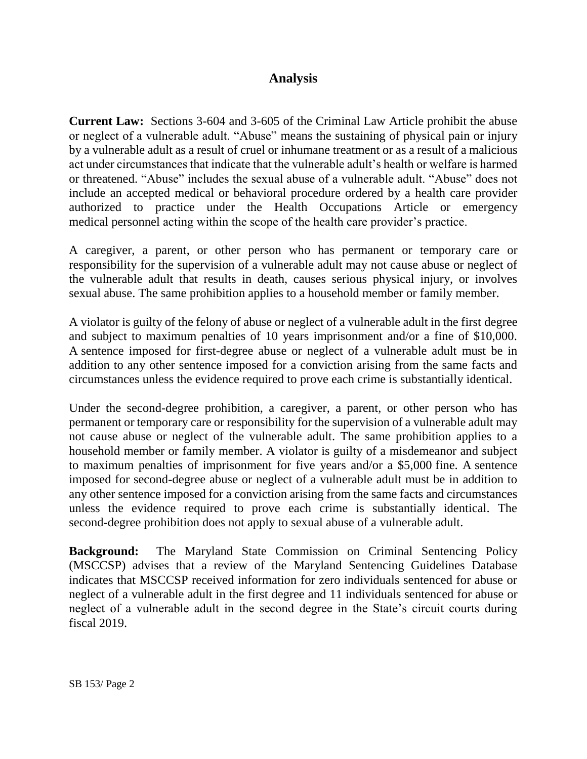## **Analysis**

**Current Law:** Sections 3-604 and 3-605 of the Criminal Law Article prohibit the abuse or neglect of a vulnerable adult. "Abuse" means the sustaining of physical pain or injury by a vulnerable adult as a result of cruel or inhumane treatment or as a result of a malicious act under circumstances that indicate that the vulnerable adult's health or welfare is harmed or threatened. "Abuse" includes the sexual abuse of a vulnerable adult. "Abuse" does not include an accepted medical or behavioral procedure ordered by a health care provider authorized to practice under the Health Occupations Article or emergency medical personnel acting within the scope of the health care provider's practice.

A caregiver, a parent, or other person who has permanent or temporary care or responsibility for the supervision of a vulnerable adult may not cause abuse or neglect of the vulnerable adult that results in death, causes serious physical injury, or involves sexual abuse. The same prohibition applies to a household member or family member.

A violator is guilty of the felony of abuse or neglect of a vulnerable adult in the first degree and subject to maximum penalties of 10 years imprisonment and/or a fine of \$10,000. A sentence imposed for first-degree abuse or neglect of a vulnerable adult must be in addition to any other sentence imposed for a conviction arising from the same facts and circumstances unless the evidence required to prove each crime is substantially identical.

Under the second-degree prohibition, a caregiver, a parent, or other person who has permanent or temporary care or responsibility for the supervision of a vulnerable adult may not cause abuse or neglect of the vulnerable adult. The same prohibition applies to a household member or family member. A violator is guilty of a misdemeanor and subject to maximum penalties of imprisonment for five years and/or a \$5,000 fine. A sentence imposed for second-degree abuse or neglect of a vulnerable adult must be in addition to any other sentence imposed for a conviction arising from the same facts and circumstances unless the evidence required to prove each crime is substantially identical. The second-degree prohibition does not apply to sexual abuse of a vulnerable adult.

**Background:** The Maryland State Commission on Criminal Sentencing Policy (MSCCSP) advises that a review of the Maryland Sentencing Guidelines Database indicates that MSCCSP received information for zero individuals sentenced for abuse or neglect of a vulnerable adult in the first degree and 11 individuals sentenced for abuse or neglect of a vulnerable adult in the second degree in the State's circuit courts during fiscal 2019.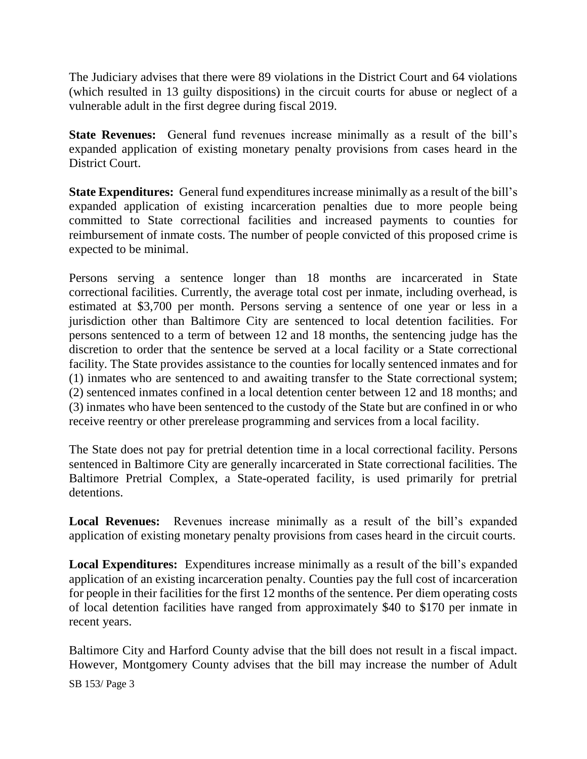The Judiciary advises that there were 89 violations in the District Court and 64 violations (which resulted in 13 guilty dispositions) in the circuit courts for abuse or neglect of a vulnerable adult in the first degree during fiscal 2019.

**State Revenues:** General fund revenues increase minimally as a result of the bill's expanded application of existing monetary penalty provisions from cases heard in the District Court.

**State Expenditures:** General fund expenditures increase minimally as a result of the bill's expanded application of existing incarceration penalties due to more people being committed to State correctional facilities and increased payments to counties for reimbursement of inmate costs. The number of people convicted of this proposed crime is expected to be minimal.

Persons serving a sentence longer than 18 months are incarcerated in State correctional facilities. Currently, the average total cost per inmate, including overhead, is estimated at \$3,700 per month. Persons serving a sentence of one year or less in a jurisdiction other than Baltimore City are sentenced to local detention facilities. For persons sentenced to a term of between 12 and 18 months, the sentencing judge has the discretion to order that the sentence be served at a local facility or a State correctional facility. The State provides assistance to the counties for locally sentenced inmates and for (1) inmates who are sentenced to and awaiting transfer to the State correctional system; (2) sentenced inmates confined in a local detention center between 12 and 18 months; and (3) inmates who have been sentenced to the custody of the State but are confined in or who receive reentry or other prerelease programming and services from a local facility.

The State does not pay for pretrial detention time in a local correctional facility. Persons sentenced in Baltimore City are generally incarcerated in State correctional facilities. The Baltimore Pretrial Complex, a State-operated facility, is used primarily for pretrial detentions.

**Local Revenues:** Revenues increase minimally as a result of the bill's expanded application of existing monetary penalty provisions from cases heard in the circuit courts.

**Local Expenditures:** Expenditures increase minimally as a result of the bill's expanded application of an existing incarceration penalty. Counties pay the full cost of incarceration for people in their facilities for the first 12 months of the sentence. Per diem operating costs of local detention facilities have ranged from approximately \$40 to \$170 per inmate in recent years.

Baltimore City and Harford County advise that the bill does not result in a fiscal impact. However, Montgomery County advises that the bill may increase the number of Adult

SB 153/ Page 3